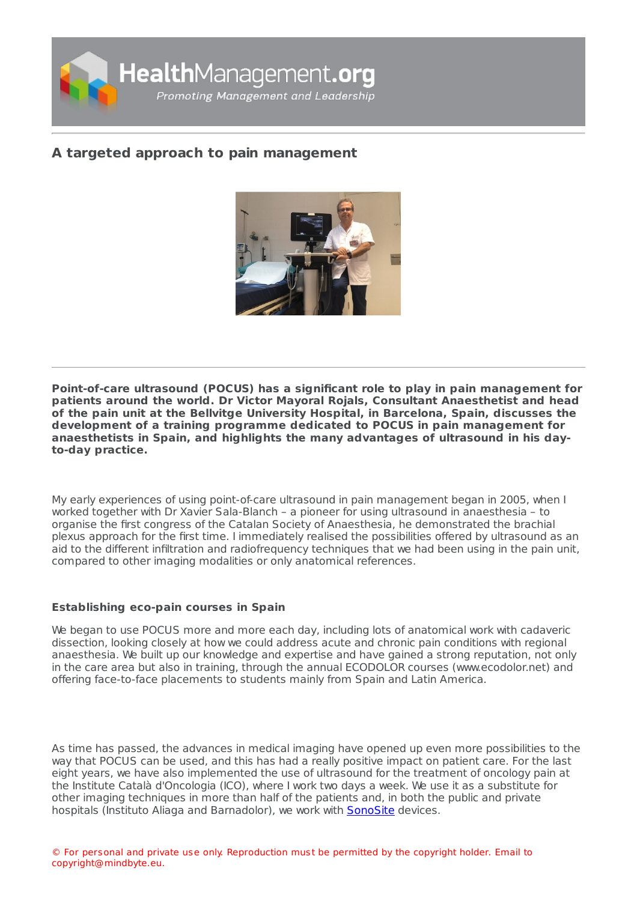

# **A targeted approach to pain [management](https://healthmanagement.org/s/a-targeted-approach-to-pain-management)**



**Point-of-care ultrasound (POCUS) has a significant role to play in pain management for patients around the world. Dr Victor Mayoral Rojals, Consultant Anaesthetist and head of the pain unit at the Bellvitge University Hospital, in Barcelona, Spain, discusses the development of a training programme dedicated to POCUS in pain management for anaesthetists in Spain, and highlights the many advantages of ultrasound in his dayto-day practice.**

My early experiences of using point-of-care ultrasound in pain management began in 2005, when I worked together with Dr Xavier Sala-Blanch – a pioneer for using ultrasound in anaesthesia – to organise the first congress of the Catalan Society of Anaesthesia, he demonstrated the brachial plexus approach for the first time. I immediately realised the possibilities offered by ultrasound as an aid to the different infiltration and radiofrequency techniques that we had been using in the pain unit, compared to other imaging modalities or only anatomical references.

## **Establishing eco-pain courses in Spain**

We began to use POCUS more and more each day, including lots of anatomical work with cadaveric dissection, looking closely at how we could address acute and chronic pain conditions with regional anaesthesia. We built up our knowledge and expertise and have gained a strong reputation, not only in the care area but also in training, through the annual ECODOLOR courses (www.ecodolor.net) and offering face-to-face placements to students mainly from Spain and Latin America.

As time has passed, the advances in medical imaging have opened up even more possibilities to the way that POCUS can be used, and this has had a really positive impact on patient care. For the last eight years, we have also implemented the use of ultrasound for the treatment of oncology pain at the Institute Català d'Oncologia (ICO), where I work two days a week. We use it as a substitute for other imaging techniques in more than half of the patients and, in both the public and private hospitals (Instituto Aliaga and Barnadolor), we work with [SonoSite](https://healthmanagement.org/site/p/fujifilm-sonosite) devices.